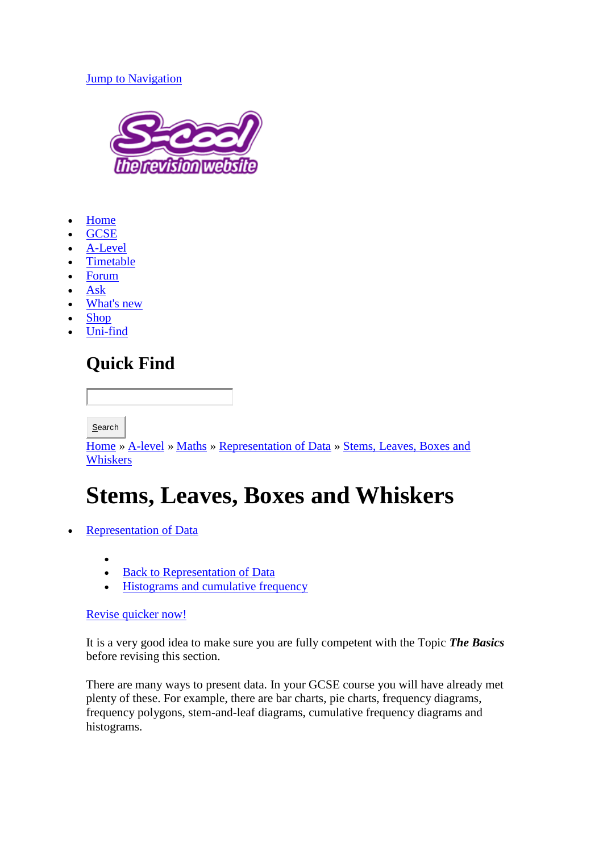### [Jump to Navigation](http://www.s-cool.co.uk/a-level/maths/representation-of-data/revise-it/stems-leaves-boxes-and-whiskers#main-menu)



- [Home](http://www.s-cool.co.uk/)
- **[GCSE](http://www.s-cool.co.uk/gcse)**
- [A-Level](http://www.s-cool.co.uk/a-level)
- [Timetable](http://www.s-cool.co.uk/forbidden/timetable)
- [Forum](http://www.s-cool.co.uk/forum)
- [Ask](http://www.s-cool.co.uk/forbidden/ask)
- [What's new](http://www.s-cool.co.uk/articles)
- [Shop](http://www.s-cool.co.uk/shop)
- [Uni-find](http://www.s-cool.co.uk/unifind)

## **Quick Find**

Search

 $\bullet$ 

[Home](http://www.s-cool.co.uk/) » [A-level](http://www.s-cool.co.uk/a-level) » [Maths](http://www.s-cool.co.uk/a-level/maths) » [Representation of Data](http://www.s-cool.co.uk/a-level/maths/representation-of-data) » [Stems, Leaves, Boxes and](http://www.s-cool.co.uk/a-level/maths/representation-of-data/revise-it/stems-leaves-boxes-and-whiskers)  [Whiskers](http://www.s-cool.co.uk/a-level/maths/representation-of-data/revise-it/stems-leaves-boxes-and-whiskers)

# **Stems, Leaves, Boxes and Whiskers**

- [Representation of Data](http://www.s-cool.co.uk/category/subjects/a-level/maths/representation-of-data)
	- [Back to Representation of Data](http://www.s-cool.co.uk/a-level/maths/representation-of-data)
	- [Histograms and cumulative frequency](http://www.s-cool.co.uk/a-level/maths/representation-of-data/revise-it/histograms-and-cumulative-frequency)

### [Revise quicker now!](http://www.s-cool.co.uk/user/register?utm_source=internal&utm_medium=content&utm_campaign=RQ2013)

It is a very good idea to make sure you are fully competent with the Topic *The Basics* before revising this section.

There are many ways to present data. In your GCSE course you will have already met plenty of these. For example, there are bar charts, pie charts, frequency diagrams, frequency polygons, stem-and-leaf diagrams, cumulative frequency diagrams and histograms.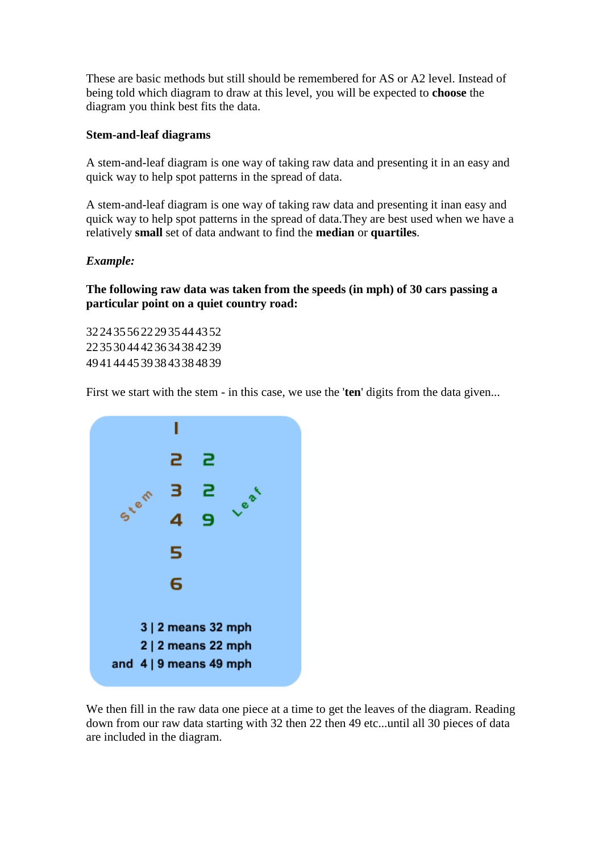These are basic methods but still should be remembered for AS or A2 level. Instead of being told which diagram to draw at this level, you will be expected to **choose** the diagram you think best fits the data.

#### **Stem-and-leaf diagrams**

A stem-and-leaf diagram is one way of taking raw data and presenting it in an easy and quick way to help spot patterns in the spread of data.

A stem-and-leaf diagram is one way of taking raw data and presenting it inan easy and quick way to help spot patterns in the spread of data.They are best used when we have a relatively **small** set of data andwant to find the **median** or **quartiles**.

#### *Example:*

**The following raw data was taken from the speeds (in mph) of 30 cars passing a particular point on a quiet country road:**

3224 3556 2229 3544 4352 2235 3044 4236 3438 4239 4941 4445 3938 4338 4839

First we start with the stem - in this case, we use the '**ten**' digits from the data given...



We then fill in the raw data one piece at a time to get the leaves of the diagram. Reading down from our raw data starting with 32 then 22 then 49 etc...until all 30 pieces of data are included in the diagram.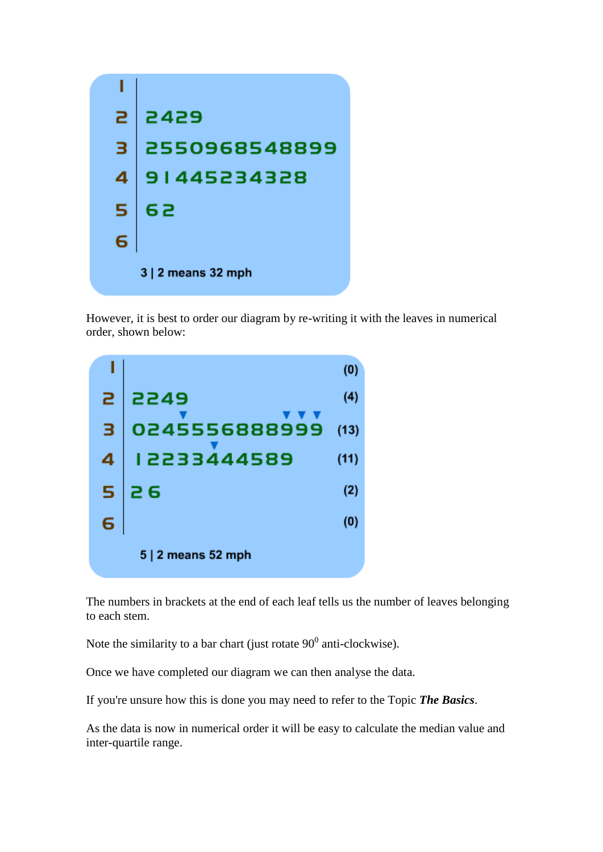

However, it is best to order our diagram by re-writing it with the leaves in numerical order, shown below:



The numbers in brackets at the end of each leaf tells us the number of leaves belonging to each stem.

Note the similarity to a bar chart (just rotate  $90^0$  anti-clockwise).

Once we have completed our diagram we can then analyse the data.

If you're unsure how this is done you may need to refer to the Topic *The Basics*.

As the data is now in numerical order it will be easy to calculate the median value and inter-quartile range.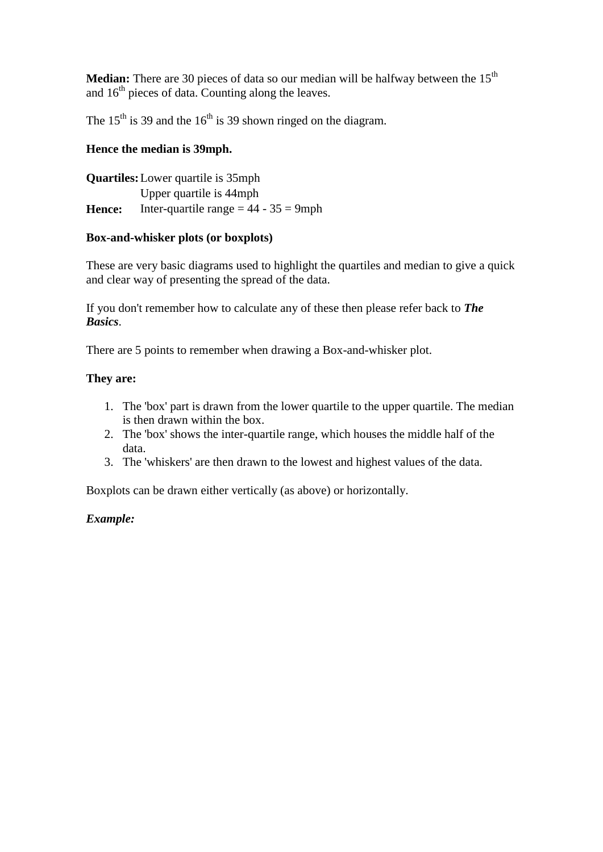**Median:** There are 30 pieces of data so our median will be halfway between the 15<sup>th</sup> and  $16<sup>th</sup>$  pieces of data. Counting along the leaves.

The  $15<sup>th</sup>$  is 39 and the  $16<sup>th</sup>$  is 39 shown ringed on the diagram.

#### **Hence the median is 39mph.**

**Quartiles:** Lower quartile is 35mph Upper quartile is 44mph **Hence:** Inter-quartile range  $= 44 - 35 = 9$ mph

#### **Box-and-whisker plots (or boxplots)**

These are very basic diagrams used to highlight the quartiles and median to give a quick and clear way of presenting the spread of the data.

If you don't remember how to calculate any of these then please refer back to *The Basics*.

There are 5 points to remember when drawing a Box-and-whisker plot.

#### **They are:**

- 1. The 'box' part is drawn from the lower quartile to the upper quartile. The median is then drawn within the box.
- 2. The 'box' shows the inter-quartile range, which houses the middle half of the data.
- 3. The 'whiskers' are then drawn to the lowest and highest values of the data.

Boxplots can be drawn either vertically (as above) or horizontally.

#### *Example:*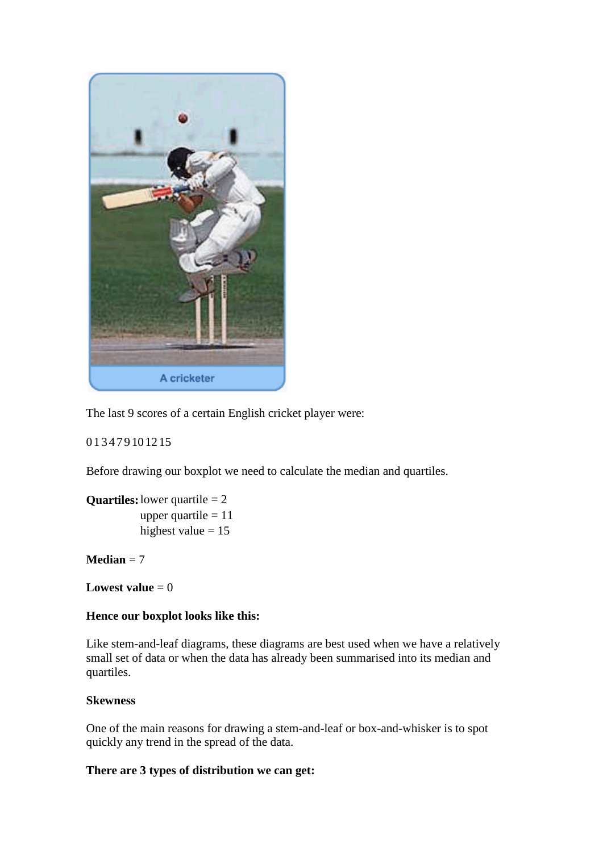

The last 9 scores of a certain English cricket player were:

#### 01 34 79 1012 15

Before drawing our boxplot we need to calculate the median and quartiles.

```
Quartiles: lower quartile = 2
upper quartile = 11highest value = 15
```
 $Median = 7$ 

```
Lowest value = 0
```
#### **Hence our boxplot looks like this:**

Like stem-and-leaf diagrams, these diagrams are best used when we have a relatively small set of data or when the data has already been summarised into its median and quartiles.

#### **Skewness**

One of the main reasons for drawing a stem-and-leaf or box-and-whisker is to spot quickly any trend in the spread of the data.

#### **There are 3 types of distribution we can get:**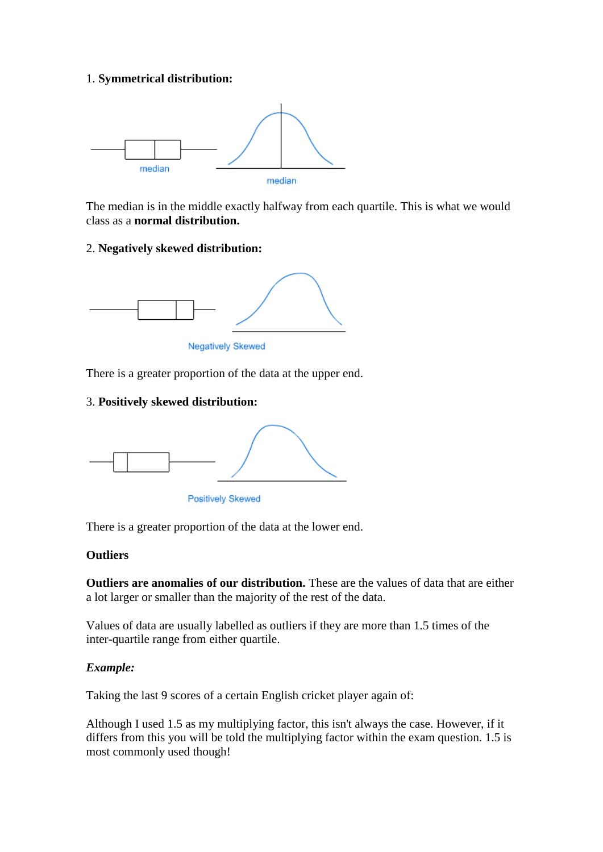#### 1. **Symmetrical distribution:**



The median is in the middle exactly halfway from each quartile. This is what we would class as a **normal distribution.**

#### 2. **Negatively skewed distribution:**



There is a greater proportion of the data at the upper end.

#### 3. **Positively skewed distribution:**



There is a greater proportion of the data at the lower end.

#### **Outliers**

**Outliers are anomalies of our distribution.** These are the values of data that are either a lot larger or smaller than the majority of the rest of the data.

Values of data are usually labelled as outliers if they are more than 1.5 times of the inter-quartile range from either quartile.

#### *Example:*

Taking the last 9 scores of a certain English cricket player again of:

Although I used 1.5 as my multiplying factor, this isn't always the case. However, if it differs from this you will be told the multiplying factor within the exam question. 1.5 is most commonly used though!